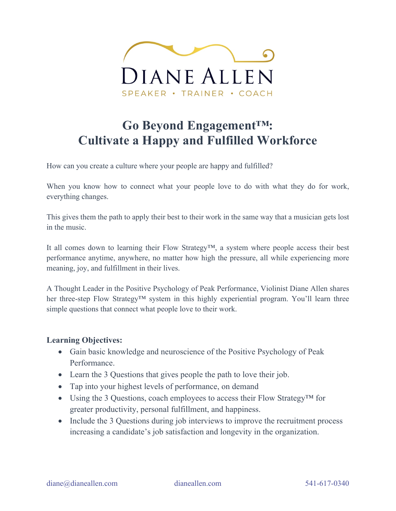

### **Go Beyond Engagement™: Cultivate a Happy and Fulfilled Workforce**

How can you create a culture where your people are happy and fulfilled?

When you know how to connect what your people love to do with what they do for work, everything changes.

This gives them the path to apply their best to their work in the same way that a musician gets lost in the music.

It all comes down to learning their Flow Strategy™, a system where people access their best performance anytime, anywhere, no matter how high the pressure, all while experiencing more meaning, joy, and fulfillment in their lives.

A Thought Leader in the Positive Psychology of Peak Performance, Violinist Diane Allen shares her three-step Flow Strategy™ system in this highly experiential program. You'll learn three simple questions that connect what people love to their work.

### **Learning Objectives:**

- Gain basic knowledge and neuroscience of the Positive Psychology of Peak Performance.
- Learn the 3 Questions that gives people the path to love their job.
- Tap into your highest levels of performance, on demand
- Using the 3 Questions, coach employees to access their Flow Strategy<sup>TM</sup> for greater productivity, personal fulfillment, and happiness.
- Include the 3 Questions during job interviews to improve the recruitment process increasing a candidate's job satisfaction and longevity in the organization.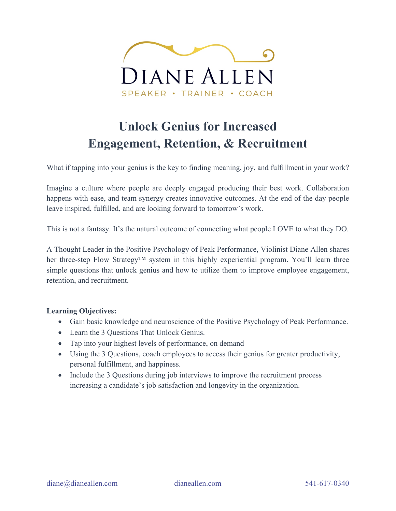

## **Unlock Genius for Increased Engagement, Retention, & Recruitment**

What if tapping into your genius is the key to finding meaning, joy, and fulfillment in your work?

Imagine a culture where people are deeply engaged producing their best work. Collaboration happens with ease, and team synergy creates innovative outcomes. At the end of the day people leave inspired, fulfilled, and are looking forward to tomorrow's work.

This is not a fantasy. It's the natural outcome of connecting what people LOVE to what they DO.

A Thought Leader in the Positive Psychology of Peak Performance, Violinist Diane Allen shares her three-step Flow Strategy™ system in this highly experiential program. You'll learn three simple questions that unlock genius and how to utilize them to improve employee engagement, retention, and recruitment.

#### **Learning Objectives:**

- Gain basic knowledge and neuroscience of the Positive Psychology of Peak Performance.
- Learn the 3 Questions That Unlock Genius.
- Tap into your highest levels of performance, on demand
- Using the 3 Questions, coach employees to access their genius for greater productivity, personal fulfillment, and happiness.
- Include the 3 Questions during job interviews to improve the recruitment process increasing a candidate's job satisfaction and longevity in the organization.